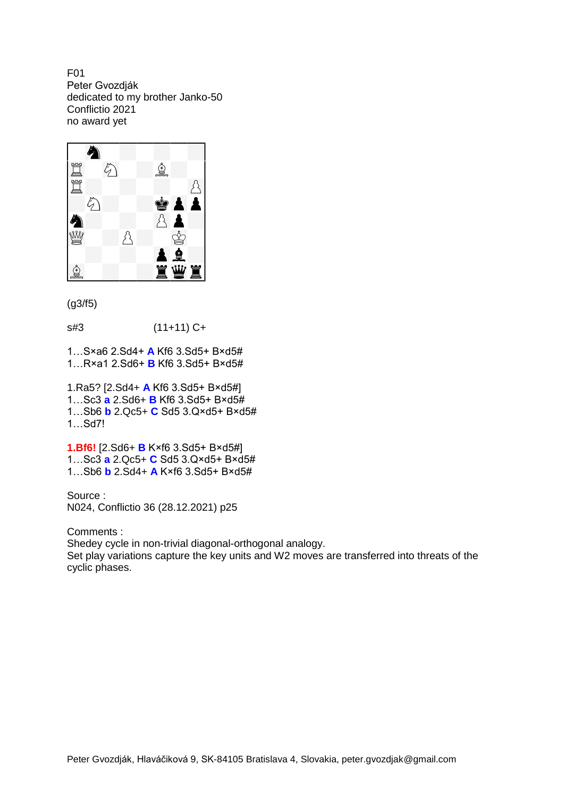F01 Peter Gvozdják dedicated to my brother Janko-50 Conflictio 2021 no award yet



(g3/f5)

s#3 (11+11) C+

1…S×a6 2.Sd4+ **A** Kf6 3.Sd5+ B×d5# 1…R×a1 2.Sd6+ **B** Kf6 3.Sd5+ B×d5#

1.Ra5? [2.Sd4+ **A** Kf6 3.Sd5+ B×d5#] 1…Sc3 **a** 2.Sd6+ **B** Kf6 3.Sd5+ B×d5# 1…Sb6 **b** 2.Qc5+ **C** Sd5 3.Q×d5+ B×d5# 1…Sd7!

**1.Bf6!** [2.Sd6+ **B** K×f6 3.Sd5+ B×d5#] 1…Sc3 **a** 2.Qc5+ **C** Sd5 3.Q×d5+ B×d5# 1…Sb6 **b** 2.Sd4+ **A** K×f6 3.Sd5+ B×d5#

Source : N024, Conflictio 36 (28.12.2021) p25

Comments :

Shedey cycle in non-trivial diagonal-orthogonal analogy.

Set play variations capture the key units and W2 moves are transferred into threats of the cyclic phases.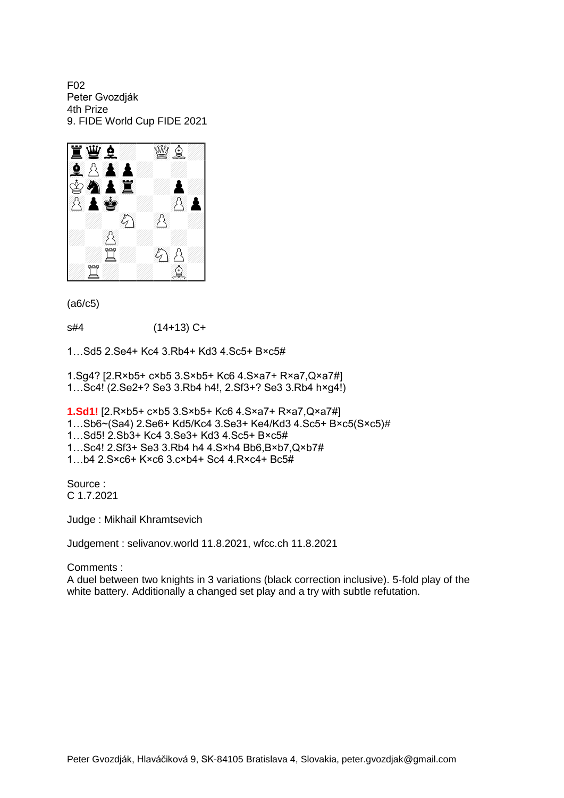F02 Peter Gvozdják 4th Prize 9. FIDE World Cup FIDE 2021



(a6/c5)

s#4 (14+13) C+

1…Sd5 2.Se4+ Kc4 3.Rb4+ Kd3 4.Sc5+ B×c5#

1.Sg4? [2.R×b5+ c×b5 3.S×b5+ Kc6 4.S×a7+ R×a7,Q×a7#] 1…Sc4! (2.Se2+? Se3 3.Rb4 h4!, 2.Sf3+? Se3 3.Rb4 h×g4!)

**1.Sd1!** [2.R×b5+ c×b5 3.S×b5+ Kc6 4.S×a7+ R×a7,Q×a7#]

1…Sb6~(Sa4) 2.Se6+ Kd5/Kc4 3.Se3+ Ke4/Kd3 4.Sc5+ B×c5(S×c5)#

1…Sd5! 2.Sb3+ Kc4 3.Se3+ Kd3 4.Sc5+ B×c5#

1…Sc4! 2.Sf3+ Se3 3.Rb4 h4 4.S×h4 Bb6,B×b7,Q×b7#

1…b4 2.S×c6+ K×c6 3.c×b4+ Sc4 4.R×c4+ Bc5#

Source : C 1.7.2021

Judge : Mikhail Khramtsevich

Judgement : selivanov.world 11.8.2021, wfcc.ch 11.8.2021

Comments :

A duel between two knights in 3 variations (black correction inclusive). 5-fold play of the white battery. Additionally a changed set play and a try with subtle refutation.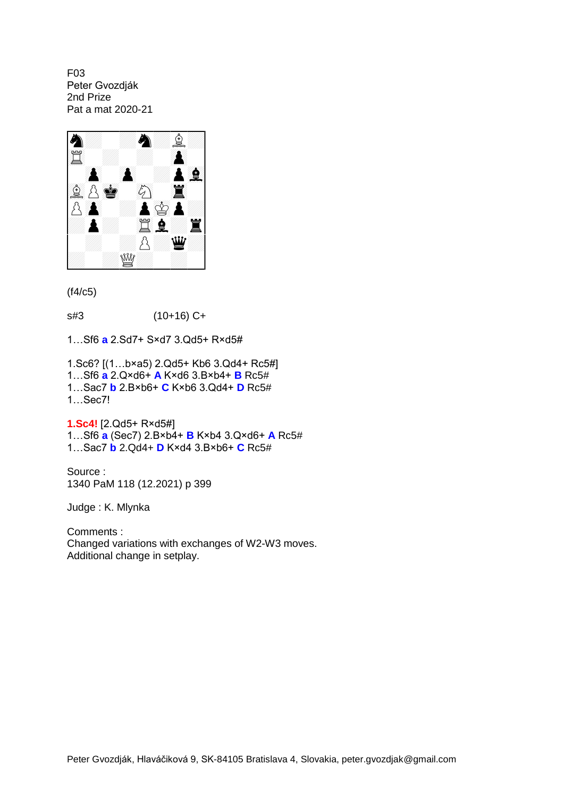F03 Peter Gvozdják 2nd Prize Pat a mat 2020-21



(f4/c5)

s#3 (10+16) C+

1…Sf6 **a** 2.Sd7+ S×d7 3.Qd5+ R×d5#

1.Sc6? [(1…b×a5) 2.Qd5+ Kb6 3.Qd4+ Rc5#] 1…Sf6 **a** 2.Q×d6+ **A** K×d6 3.B×b4+ **B** Rc5# 1…Sac7 **b** 2.B×b6+ **C** K×b6 3.Qd4+ **D** Rc5# 1…Sec7!

**1.Sc4!** [2.Qd5+ R×d5#] 1…Sf6 **a** (Sec7) 2.B×b4+ **B** K×b4 3.Q×d6+ **A** Rc5# 1…Sac7 **b** 2.Qd4+ **D** K×d4 3.B×b6+ **C** Rc5#

Source : 1340 PaM 118 (12.2021) p 399

Judge : K. Mlynka

Comments : Changed variations with exchanges of W2-W3 moves. Additional change in setplay.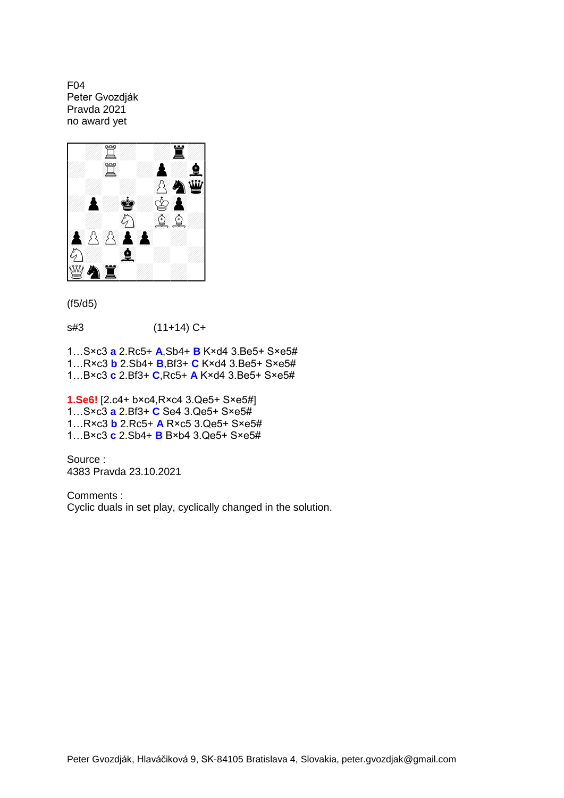F04 Peter Gvozdják Pravda 2021 no award yet



## (f5/d5)

s#3 (11+14) C+

1…S×c3 **a** 2.Rc5+ **A**,Sb4+ **B** K×d4 3.Be5+ S×e5# 1…R×c3 **b** 2.Sb4+ **B**,Bf3+ **C** K×d4 3.Be5+ S×e5# 1…B×c3 **c** 2.Bf3+ **C**,Rc5+ **A** K×d4 3.Be5+ S×e5#

**1.Se6!** [2.c4+ b×c4,R×c4 3.Qe5+ S×e5#] 1…S×c3 **a** 2.Bf3+ **C** Se4 3.Qe5+ S×e5# 1…R×c3 **b** 2.Rc5+ **A** R×c5 3.Qe5+ S×e5# 1…B×c3 **c** 2.Sb4+ **B** B×b4 3.Qe5+ S×e5#

Source : 4383 Pravda 23.10.2021

Comments : Cyclic duals in set play, cyclically changed in the solution.